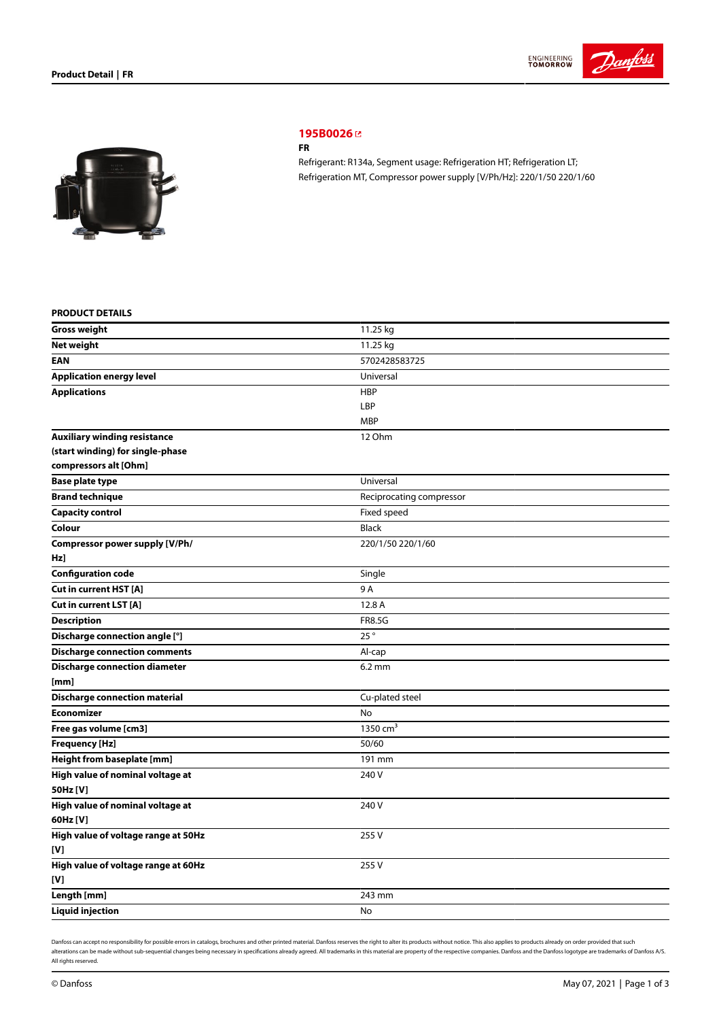



# **[195B0026](https://store.danfoss.com/sg/en/Climate-Solutions-for-cooling/Compressors/Compressors-for-Refrigeration/Danfoss-Light-Commercial-Refrigeration-Compressors/FR/p/195B0026)**

#### **FR**

Refrigerant: R134a, Segment usage: Refrigeration HT; Refrigeration LT; Refrigeration MT, Compressor power supply [V/Ph/Hz]: 220/1/50 220/1/60

## **PRODUCT DETAILS**

| <b>Gross weight</b>                  | 11.25 kg                 |
|--------------------------------------|--------------------------|
| <b>Net weight</b>                    | 11.25 kg                 |
| <b>EAN</b>                           | 5702428583725            |
| <b>Application energy level</b>      | Universal                |
| <b>Applications</b>                  | <b>HBP</b>               |
|                                      | LBP                      |
|                                      | <b>MBP</b>               |
| <b>Auxiliary winding resistance</b>  | 12 Ohm                   |
| (start winding) for single-phase     |                          |
| compressors alt [Ohm]                |                          |
| <b>Base plate type</b>               | Universal                |
| <b>Brand technique</b>               | Reciprocating compressor |
| <b>Capacity control</b>              | Fixed speed              |
| Colour                               | <b>Black</b>             |
| Compressor power supply [V/Ph/       | 220/1/50 220/1/60        |
| Hz]                                  |                          |
| <b>Configuration code</b>            | Single                   |
| Cut in current HST [A]               | 9 A                      |
| Cut in current LST [A]               | 12.8 A                   |
| <b>Description</b>                   | <b>FR8.5G</b>            |
| Discharge connection angle [°]       | 25°                      |
| <b>Discharge connection comments</b> | Al-cap                   |
| <b>Discharge connection diameter</b> | $6.2 \text{ mm}$         |
| [mm]                                 |                          |
| <b>Discharge connection material</b> | Cu-plated steel          |
| <b>Economizer</b>                    | No                       |
| Free gas volume [cm3]                | 1350 $cm3$               |
| <b>Frequency [Hz]</b>                | 50/60                    |
| Height from baseplate [mm]           | 191 mm                   |
| High value of nominal voltage at     | 240 V                    |
| 50Hz [V]                             |                          |
| High value of nominal voltage at     | 240 V                    |
| 60Hz [V]                             |                          |
| High value of voltage range at 50Hz  | 255V                     |
| [V]                                  |                          |
| High value of voltage range at 60Hz  | 255 V                    |
| [V]                                  |                          |
| Length [mm]                          | 243 mm                   |
| <b>Liquid injection</b>              | No                       |

Danfoss can accept no responsibility for possible errors in catalogs, brochures and other printed material. Danfoss reserves the right to alter its products without notice. This also applies to products already on order pr alterations can be made without sub-sequential changes being necessary in specifications already agreed. All trademarks in this material are property of the respective companies. Danfoss and the Danfoss logotype are tradem All rights reserved.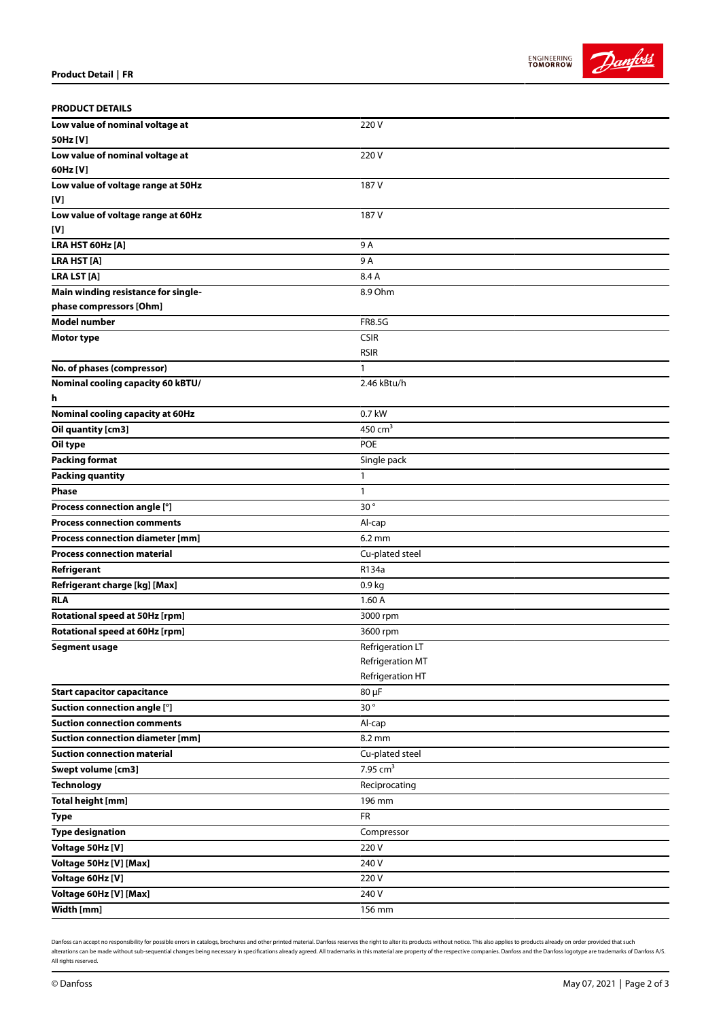



| <b>PRODUCT DETAILS</b>                  |                        |
|-----------------------------------------|------------------------|
| Low value of nominal voltage at         | 220V                   |
| 50Hz [V]                                |                        |
| Low value of nominal voltage at         | 220V                   |
| 60Hz [V]                                |                        |
| Low value of voltage range at 50Hz      | 187 V                  |
| [V]                                     |                        |
| Low value of voltage range at 60Hz      | 187 V                  |
| [V]                                     |                        |
| LRA HST 60Hz [A]                        | 9 A                    |
| <b>LRA HST [A]</b>                      | 9A                     |
| <b>LRA LST [A]</b>                      | 8.4 A                  |
| Main winding resistance for single-     | 8.9 Ohm                |
| phase compressors [Ohm]                 |                        |
| <b>Model number</b>                     | <b>FR8.5G</b>          |
| <b>Motor type</b>                       | <b>CSIR</b>            |
|                                         | <b>RSIR</b>            |
| No. of phases (compressor)              | 1                      |
| Nominal cooling capacity 60 kBTU/       | 2.46 kBtu/h            |
| h                                       |                        |
| <b>Nominal cooling capacity at 60Hz</b> | 0.7 kW                 |
| Oil quantity [cm3]                      | 450 $cm3$              |
| Oil type                                | <b>POE</b>             |
| <b>Packing format</b>                   | Single pack            |
| <b>Packing quantity</b>                 | 1                      |
| <b>Phase</b>                            | 1                      |
| Process connection angle [°]            | $30^{\circ}$           |
| <b>Process connection comments</b>      | Al-cap                 |
| <b>Process connection diameter [mm]</b> | $6.2 \text{ mm}$       |
| <b>Process connection material</b>      | Cu-plated steel        |
| Refrigerant                             | R134a                  |
| Refrigerant charge [kg] [Max]           | 0.9 <sub>kg</sub>      |
| <b>RLA</b>                              | 1.60A                  |
| Rotational speed at 50Hz [rpm]          | 3000 rpm               |
| Rotational speed at 60Hz [rpm]          | 3600 rpm               |
| <b>Segment usage</b>                    | Refrigeration LT       |
|                                         | Refrigeration MT       |
|                                         | Refrigeration HT       |
| <b>Start capacitor capacitance</b>      | 80 µF                  |
| Suction connection angle [°]            | 30°                    |
| <b>Suction connection comments</b>      | Al-cap                 |
| <b>Suction connection diameter [mm]</b> | 8.2 mm                 |
| <b>Suction connection material</b>      | Cu-plated steel        |
| Swept volume [cm3]                      | $7.95$ cm <sup>3</sup> |
| <b>Technology</b>                       | Reciprocating          |
| <b>Total height [mm]</b>                | 196 mm                 |
| <b>Type</b>                             | FR                     |
| <b>Type designation</b>                 | Compressor             |
| Voltage 50Hz [V]                        | 220V                   |
| Voltage 50Hz [V] [Max]                  | 240 V                  |
| Voltage 60Hz [V]                        | 220V                   |
| Voltage 60Hz [V] [Max]                  | 240 V                  |
| Width [mm]                              | 156 mm                 |

Danfoss can accept no responsibility for possible errors in catalogs, brochures and other printed material. Danfoss reserves the right to alter its products without notice. This also applies to products already on order pr alterations can be made without sub-sequential changes being necessary in specifications already agreed. All trademarks in this material are property of the respective companies. Danfoss and the Danfoss logotype are tradem All rights reserved.